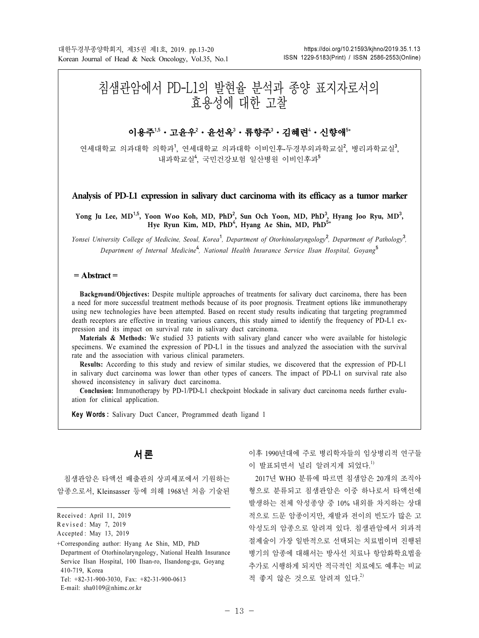# 침샘관암에서 PD-L1의 발현율 분석과 종양 표지자로서의 효용성에 대한 고찰

# **이용주'<sup>,5</sup>・고윤우<sup>2</sup>・윤선옥<sup>3</sup>・류향주<sup>3</sup>・김혜련'・신향애<sup>5</sup>\***

연세대학교 의과대학 의학과<sup>1</sup>, 연세대학교 의과대학 이비인후-두경부외과학교실<sup>2</sup>, 병리과학교실<sup>3</sup>, 내과학교실<sup>4</sup> , 국민건강보험 일산병원 이비인후과<sup>5</sup>

**Analysis of PD-L1 expression in salivary duct carcinoma with its efficacy as a tumor marker**

Yong Ju Lee, MD<sup>1,5</sup>, Yoon Woo Koh, MD, PhD<sup>2</sup>, Sun Och Yoon, MD, PhD<sup>3</sup>, Hyang Joo Ryu, MD<sup>3</sup>, **Hye Ryun Kim, MD, PhD**<sup>4</sup> **, Hyang Ae Shin, MD, PhD**5+

Yonsei University College of Medicine, Seoul, Korea<sup>1</sup>, Department of Otorhinolaryngology<sup>2</sup>, Department of Pathology<sup>3</sup>, Department of Internal Medicine<sup>4</sup>, National Health Insurance Service Ilsan Hospital, Goyang<sup>5</sup>

#### $=$  Abstract  $=$

Background/Objectives: Despite multiple approaches of treatments for salivary duct carcinoma, there has been a need for more successful treatment methods because of its poor prognosis. Treatment options like immunotherapy using new technologies have been attempted. Based on recent study results indicating that targeting programmed death receptors are effective in treating various cancers, this study aimed to identify the frequency of PD-L1 expression and its impact on survival rate in salivary duct carcinoma.

Materials & Methods: We studied 33 patients with salivary gland cancer who were available for histologic specimens. We examined the expression of PD-L1 in the tissues and analyzed the association with the survival rate and the association with various clinical parameters.

Results: According to this study and review of similar studies, we discovered that the expression of PD-L1 in salivary duct carcinoma was lower than other types of cancers. The impact of PD-L1 on survival rate also showed inconsistency in salivary duct carcinoma.

Conclusion: Immunotherapy by PD-1/PD-L1 checkpoint blockade in salivary duct carcinoma needs further evaluation for clinical application.

Key Words: Salivary Duct Cancer, Programmed death ligand 1

# 서 론

침샘관암은 타액선 배출관의 상피세포에서 기원하는 암종으로서, Kleinsasser 등에 의해 1968년 처음 기술된 이후 1990년대에 주로 병리학자들의 임상병리적 연구들 이 발표되면서 널리 알려지게 되었다.<sup>1)</sup>

2017년 WHO 분류에 따르면 침샘암은 20개의 조직아 형으로 분류되고 침샘관암은 이중 하나로서 타액선에 발생하는 전체 악성종양 중 10% 내외를 차지하는 상대 적으로 드문 암종이지만, 재발과 전이의 빈도가 많은 고 악성도의 암종으로 알려져 있다. 침샘관암에서 외과적 절제술이 가장 일반적으로 선택되는 치료법이며 진행된 병기의 암종에 대해서는 방사선 치료나 항암화학요법을 추가로 시행하게 되지만 적극적인 치료에도 예후는 비교 적 좋지 않은 것으로 알려져 있다.<sup>2)</sup>

Received : April 11, 2019

Revised : May 7, 2019

Accepted : May 13, 2019

<sup>+</sup>Corresponding author: Hyang Ae Shin, MD, PhD Department of Otorhinolaryngology, National Health Insurance Service Ilsan Hospital, 100 Ilsan-ro, Ilsandong-gu, Goyang 410-719, Korea Tel: +82-31-900-3030, Fax: +82-31-900-0613

E-mail: sha0109@nhimc.or.kr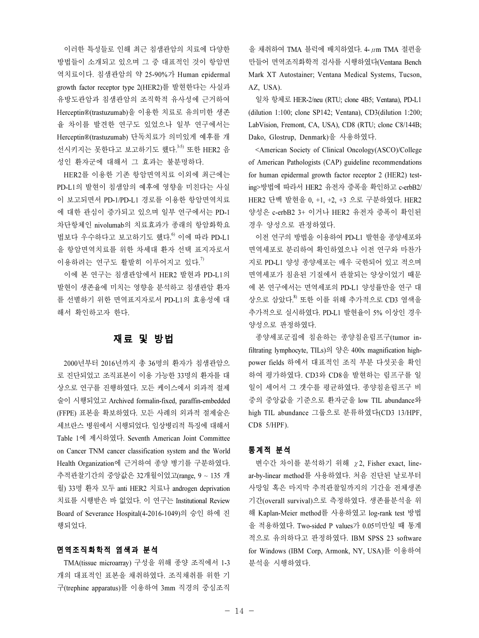이러한 특성들로 인해 최근 침샘관암의 치료에 다양한 방법들이 소개되고 있으며 그 중 대표적인 것이 항암면 역치료이다. 침샘관암의 약 25-90%가 Human epidermal growth factor receptor type 2(HER2)를 발현한다는 사실과 유방도관암과 침샘관암의 조직학적 유사성에 근거하여 Herceptin®(trastuzumab)을 이용한 치료로 유의미한 생존 율 차이를 발견한 연구도 있었으나 일부 연구에서는 Herceptin®(trastuzumab) 단독치료가 의미있게 예후를 개 선시키지는 못한다고 보고하기도 했다. 3-5) 또한 HER2 음 성인 환자군에 대해서 그 효과는 불분명하다.

HER2를 이용한 기존 항암면역치료 이외에 최근에는 PD-L1의 발현이 침샘암의 예후에 영향을 미친다는 사실 이 보고되면서 PD-1/PD-L1 경로를 이용한 항암면역치료 에 대한 관심이 증가되고 있으며 일부 연구에서는 PD-1 차단항체인 nivolumab의 치료효과가 종래의 항암화학요 법보다 우수하다고 보고하기도 했다. 이에 따라 PD-L1 을 항암면역치료를 위한 차세대 환자 선택 표지자로서 이용하려는 연구도 활발히 이루어지고 있다.<sup>7)</sup>

이에 본 연구는 침샘관암에서 HER2 발현과 PD-L1의 발현이 생존율에 미치는 영향을 분석하고 침샘관암 환자 를 선별하기 위한 면역표지자로서 PD-L1의 효용성에 대 해서 확인하고자 한다.

## 재료 및 방법

2000년부터 2016년까지 총 36명의 환자가 침샘관암으 로 진단되었고 조직표본이 이용 가능한 33명의 환자를 대 상으로 연구를 진행하였다. 모든 케이스에서 외과적 절제 술이 시행되었고 Archived formalin-fixed, paraffin-embedded (FFPE) 표본을 확보하였다. 모든 사례의 외과적 절제술은 세브란스 병원에서 시행되었다. 임상병리적 특징에 대해서 Table 1에 제시하였다. Seventh American Joint Committee on Cancer TNM cancer classification system and the World Health Organization에 근거하여 종양 병기를 구분하였다. 추적관찰기간의 중앙값은 32개월이었고(range, 9 ~ 135 개 월) 33명 환자 모두 anti HER2 치료나 androgen deprivation 치료를 시행받은 바 없었다. 이 연구는 Institutional Review Board of Severance Hospital(4-2016-1049)의 승인 하에 진 행되었다.

#### 면역조직화학적 염색과 분석

TMA(tissue microarray) 구성을 위해 종양 조직에서 1-3 개의 대표적인 표본을 채취하였다. 조직채취를 위한 기 구(trephine apparatus)를 이용하여 3mm 직경의 중심조직

을 채취하여 TMA 블럭에 배치하였다. 4-μm TMA 절편을 만들어 면역조직화학적 검사를 시행하였다(Ventana Bench Mark XT Autostainer; Ventana Medical Systems, Tucson, AZ, USA).

일차 항체로 HER-2/neu (RTU; clone 4B5; Ventana), PD-L1 (dilution 1:100; clone SP142; Ventana), CD3(dilution 1:200; LabVision, Fremont, CA, USA), CD8 (RTU; clone C8/144B; Dako, Glostrup, Denmark)을 사용하였다.

<American Society of Clinical Oncology(ASCO)/College of American Pathologists (CAP) guideline recommendations for human epidermal growth factor receptor 2 (HER2) testing>방법에 따라서 HER2 유전자 증폭을 확인하고 c-erbB2/ HER2 단백 발현을 0, +1, +2, +3 으로 구분하였다. HER2 양성은 c-erbB2 3+ 이거나 HER2 유전자 증폭이 확인된 경우 양성으로 판정하였다.

이전 연구의 방법을 이용하여 PD-L1 발현을 종양세포와 면역세포로 분리하여 확인하였으나 이전 연구와 마찬가 지로 PD-L1 양성 종양세포는 매우 국한되어 있고 적으며 면역세포가 침윤된 기질에서 관찰되는 양상이었기 때문 에 본 연구에서는 면역세포의 PD-L1 양성률만을 연구 대 상으로 삼았다. 8) 또한 이를 위해 추가적으로 CD3 염색을 추가적으로 실시하였다. PD-L1 발현율이 5% 이상인 경우 양성으로 판정하였다.

종양세포군집에 침윤하는 종양침윤림프구(tumor infiltrating lymphocyte, TILs)의 양은 400x magnification highpower fields 하에서 대표적인 조직 부분 다섯곳을 확인 하여 평가하였다. CD3와 CD8을 발현하는 림프구를 일 일이 세어서 그 갯수를 평균하였다. 종양침윤림프구 비 중의 중앙값을 기준으로 환자군을 low TIL abundance와 high TIL abundance 그룹으로 분류하였다(CD3 13/HPF, CD8 5/HPF).

#### 통계적 분석

변수간 차이를 분석하기 위해 χ2, Fisher exact, linear-by-linear method를 사용하였다. 처음 진단된 날로부터 사망일 혹은 마지막 추적관찰일까지의 기간을 전체생존 기간(overall survival)으로 측정하였다. 생존률분석을 위 해 Kaplan-Meier method를 사용하였고 log-rank test 방법 을 적용하였다. Two-sided P values가 0.05미만일 때 통계 적으로 유의하다고 판정하였다. IBM SPSS 23 software for Windows (IBM Corp, Armonk, NY, USA)를 이용하여 분석을 시행하였다.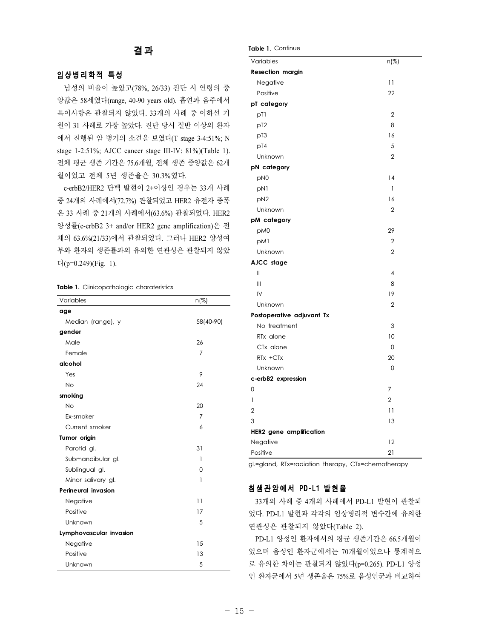# 결 과

#### 임상병리학적 특성

남성의 비율이 높았고(78%, 26/33) 진단 시 연령의 중 앙값은 58세였다(range, 40-90 years old). 흡연과 음주에서 특이사항은 관찰되지 않았다. 33개의 사례 중 이하선 기 원이 31 사례로 가장 높았다. 진단 당시 절반 이상의 환자 에서 진행된 암 병기의 소견을 보였다(T stage 3-4:51%; N stage 1-2:51%; AJCC cancer stage III-IV: 81%)(Table 1). 전체 평균 생존 기간은 75.6개월, 전체 생존 중앙값은 62개 월이었고 전체 5년 생존율은 30.3%였다.

c-erbB2/HER2 단백 발현이 2+이상인 경우는 33개 사례 중 24개의 사례에서(72.7%) 관찰되었고 HER2 유전자 증폭 은 33 사례 중 21개의 사례에서(63.6%) 관찰되었다. HER2 양성률(c-erbB2 3+ and/or HER2 gene amplification)은 전 체의 63.6%(21/33)에서 관찰되었다. 그러나 HER2 양성여 부와 환자의 생존률과의 유의한 연관성은 관찰되지 않았 다(p=0.249)(Fig. 1).

#### Table 1. Clinicopathologic charateristics

| Variables                  | $n(\%)$        |  |  |  |
|----------------------------|----------------|--|--|--|
| age                        |                |  |  |  |
| Median (range), y          | 58(40-90)      |  |  |  |
| gender                     |                |  |  |  |
| Male                       | 26             |  |  |  |
| Female                     | $\overline{7}$ |  |  |  |
| alcohol                    |                |  |  |  |
| Yes                        | 9              |  |  |  |
| <b>No</b>                  | 24             |  |  |  |
| smoking                    |                |  |  |  |
| <b>No</b>                  | 20             |  |  |  |
| Ex-smoker                  | 7              |  |  |  |
| Current smoker             | 6              |  |  |  |
| Tumor origin               |                |  |  |  |
| Parotid gl.                | 31             |  |  |  |
| Submandibular gl.          | 1              |  |  |  |
| Sublingual gl.             | 0              |  |  |  |
| Minor salivary gl.         | 1              |  |  |  |
| <b>Perineural invasion</b> |                |  |  |  |
| Negative                   | 11             |  |  |  |
| Positive                   | 17             |  |  |  |
| Unknown                    | 5              |  |  |  |
| Lymphovascular invasion    |                |  |  |  |
| Negative                   | 15             |  |  |  |
| Positive                   | 13             |  |  |  |
| Unknown                    | 5              |  |  |  |

| Table 1. Continue              |                         |
|--------------------------------|-------------------------|
| Variables                      | n(%)                    |
| <b>Resection margin</b>        |                         |
| Negative                       | $\overline{11}$         |
| Positive                       | 22                      |
| pT category                    |                         |
| pT1                            | $\overline{2}$          |
| p <sub>T2</sub>                | 8                       |
| p <sub>T3</sub>                | 16                      |
| pT4                            | 5                       |
| Unknown                        | $\overline{2}$          |
| pN category                    |                         |
| pN <sub>0</sub>                | 14                      |
| pN1                            | 1                       |
| pN <sub>2</sub>                | 16                      |
| Unknown                        | $\overline{2}$          |
| pM category                    |                         |
| pM0                            | 29                      |
| pM1                            | $\overline{2}$          |
| Unknown                        | $\mathfrak{D}$          |
| AJCC stage                     |                         |
| $\mathbf{II}$                  | $\overline{\mathbf{4}}$ |
| Ш                              | 8                       |
| IV                             | 19                      |
| Unknown                        | $\overline{2}$          |
| Postoperative adjuvant Tx      |                         |
| No treatment                   | 3                       |
| RTx alone                      | 10                      |
| CT <sub>x</sub> alone          | 0                       |
| RTx +CTx                       | 20                      |
| Unknown                        | 0                       |
| c-erbB2 expression             |                         |
| 0                              | 7                       |
| $\mathbf{1}$                   | $\overline{2}$          |
| $\overline{2}$                 | 11                      |
| 3                              | 13                      |
| <b>HER2</b> gene amplification |                         |
| Negative                       | 12                      |
| Positive                       | 21                      |

gl.=gland, RTx=radiation therapy, CTx=chemotherapy

## 침샘관암에서 PD-L1 발현율

33개의 사례 중 4개의 사례에서 PD-L1 발현이 관찰되 었다. PD-L1 발현과 각각의 임상병리적 변수간에 유의한 연관성은 관찰되지 않았다(Table 2).

PD-L1 양성인 환자에서의 평균 생존기간은 66.5개월이 었으며 음성인 환자군에서는 70개월이었으나 통계적으 로 유의한 차이는 관찰되지 않았다(p=0.265). PD-L1 양성 인 환자군에서 5년 생존율은 75%로 음성인군과 비교하여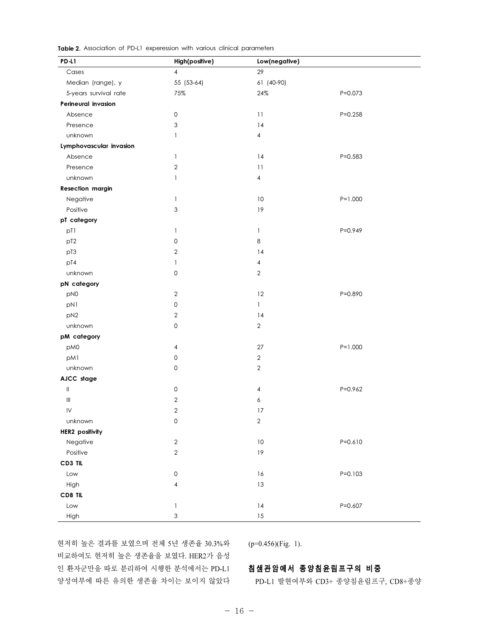| <b>Table 2.</b> Association of PD-L1 experession with various clinical parameters |  |  |  |  |  |  |
|-----------------------------------------------------------------------------------|--|--|--|--|--|--|
|-----------------------------------------------------------------------------------|--|--|--|--|--|--|

| PD-L1                              | High(positive)                        | Low(negative)           |             |  |  |  |
|------------------------------------|---------------------------------------|-------------------------|-------------|--|--|--|
| Cases                              | $\overline{4}$                        | 29                      |             |  |  |  |
| Median (range), y                  | 55 (53-64)                            | 61 (40-90)              |             |  |  |  |
| 5-years survival rate              | 75%                                   | 24%                     | $P = 0.073$ |  |  |  |
| Perineural invasion                |                                       |                         |             |  |  |  |
| Absence                            | $\mathsf{O}\xspace$                   | 11                      | $P = 0.258$ |  |  |  |
| Presence                           | $\ensuremath{\mathsf{3}}$             | 14                      |             |  |  |  |
| unknown                            | $\mathbf{1}$                          | $\overline{\mathbf{4}}$ |             |  |  |  |
| Lymphovascular invasion            |                                       |                         |             |  |  |  |
| Absence                            | $\mathbf{1}$                          | 14                      | $P = 0.583$ |  |  |  |
| Presence                           | $\sqrt{2}$                            | 11                      |             |  |  |  |
| unknown                            | $\mathbf{1}$                          | $\overline{\mathbf{4}}$ |             |  |  |  |
| <b>Resection margin</b>            |                                       |                         |             |  |  |  |
| Negative                           | $\mathbf{1}$                          | $10$                    | $P = 1.000$ |  |  |  |
| Positive                           | $\ensuremath{\mathsf{3}}$             | 19                      |             |  |  |  |
| pT category                        |                                       |                         |             |  |  |  |
| pT1                                | $\mathbf{1}$                          | $\mathbf{1}$            | P=0.949     |  |  |  |
| pT <sub>2</sub>                    | $\mathsf{O}\xspace$                   | 8                       |             |  |  |  |
| pT3                                | $\sqrt{2}$                            | 14                      |             |  |  |  |
| pT4                                | $\mathbf{1}$                          | $\overline{\mathbf{4}}$ |             |  |  |  |
| unknown                            | $\mathsf{O}\xspace$                   | $\sqrt{2}$              |             |  |  |  |
| pN category                        |                                       |                         |             |  |  |  |
| pN0                                | $\sqrt{2}$                            | 12                      | P=0.890     |  |  |  |
| pN1                                | $\mathsf{O}\xspace$                   | $\mathbf{1}$            |             |  |  |  |
| pN <sub>2</sub>                    | $\sqrt{2}$                            | 14                      |             |  |  |  |
| unknown                            | $\mathsf{O}\xspace$                   | $\overline{2}$          |             |  |  |  |
| pM category                        |                                       |                         |             |  |  |  |
| pM0                                | $\overline{\mathbf{4}}$               | 27                      | $P = 1.000$ |  |  |  |
| pM1                                | $\mathsf{O}\xspace$                   | $\sqrt{2}$              |             |  |  |  |
| unknown                            | $\mathsf{O}\xspace$                   | $\sqrt{2}$              |             |  |  |  |
| AJCC stage                         |                                       |                         |             |  |  |  |
| $\, \parallel$                     | $\mathsf{O}\xspace$                   | $\overline{\mathbf{4}}$ | $P = 0.962$ |  |  |  |
| $\ensuremath{\mathsf{III}}\xspace$ | $\sqrt{2}$                            | 6                       |             |  |  |  |
| IV                                 | $\overline{2}$                        | 17                      |             |  |  |  |
| unknown                            | $\mathsf{O}\xspace$                   | $\sqrt{2}$              |             |  |  |  |
| <b>HER2</b> positivity             |                                       |                         |             |  |  |  |
| Negative                           | $\sqrt{2}$                            | $10$                    | $P = 0.610$ |  |  |  |
| Positive                           | $\sqrt{2}$                            | 19                      |             |  |  |  |
| CD3 TIL                            |                                       |                         |             |  |  |  |
| Low                                | $\mathsf{O}\xspace$                   | $16$                    | $P = 0.103$ |  |  |  |
| High                               | $\overline{\mathbf{4}}$               | 13                      |             |  |  |  |
| CD8 TIL                            |                                       |                         |             |  |  |  |
| Low                                | $\begin{array}{c} \hline \end{array}$ | 4                       | $P = 0.607$ |  |  |  |
| High                               | $\ensuremath{\mathsf{3}}$             | $15$                    |             |  |  |  |

현저히 높은 결과를 보였으며 전체 5년 생존율 30.3%와 비교하여도 현저히 높은 생존율을 보였다. HER2가 음성 인 환자군만을 따로 분리하여 시행한 분석에서는 PD-L1 양성여부에 따른 유의한 생존율 차이는 보이지 않았다  $(p=0.456)$ (Fig. 1).

## 침샘관암에서 종양침윤림프구의 비중

PD-L1 발현여부와 CD3+ 종양침윤림프구, CD8+종양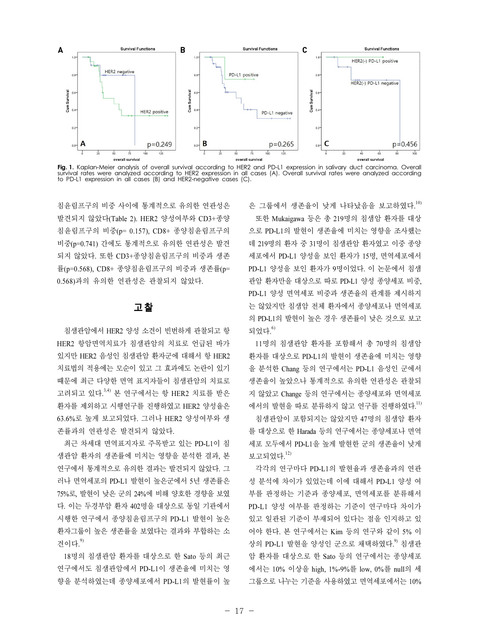



침윤림프구의 비중 사이에 통계적으로 유의한 연관성은 발견되지 않았다(Table 2). HER2 양성여부와 CD3+종양 침윤림프구의 비중(p= 0.157), CD8+ 종양침윤림프구의 비중(p=0.741) 간에도 통계적으로 유의한 연관성은 발견 되지 않았다. 또한 CD3+종양침윤림프구의 비중과 생존 률(p=0.568), CD8+ 종양침윤림프구의 비중과 생존률(p= 0.568)과의 유의한 연관성은 관찰되지 않았다.

### 고 찰

침샘관암에서 HER2 양성 소견이 빈번하게 관찰되고 항 HER2 항암면역치료가 침샘관암의 치료로 언급된 바가 있지만 HER2 음성인 침샘관암 환자군에 대해서 항 HER2 치료법의 적용에는 모순이 있고 그 효과에도 논란이 있기 때문에 최근 다양한 면역 표지자들이 침샘관암의 치료로 고려되고 있다.<sup>3,4)</sup> 본 연구에서는 항 HER2 치료를 받은 환자를 제외하고 시행연구를 진행하였고 HER2 양성율은 63.6%로 높게 보고되었다. 그러나 HER2 양성여부와 생 존률과의 연관성은 발견되지 않았다.

최근 차세대 면역표지자로 주목받고 있는 PD-L1이 침 샘관암 환자의 생존률에 미치는 영향을 분석한 결과, 본 연구에서 통계적으로 유의한 결과는 발견되지 않았다. 그 러나 면역세포의 PD-L1 발현이 높은군에서 5년 생존률은 75%로, 발현이 낮은 군의 24%에 비해 양호한 경향을 보였 다. 이는 두경부암 환자 402명을 대상으로 동일 기관에서 시행한 연구에서 종양침윤림프구의 PD-L1 발현이 높은 환자그룹이 높은 생존률을 보였다는 결과와 부합하는 소 견이다. $9$ 

18명의 침샘관암 환자를 대상으로 한 Sato 등의 최근 연구에서도 침샘관암에서 PD-L1이 생존율에 미치는 영 향을 분석하였는데 종양세포에서 PD-L1의 발현률이 높 은 그룹에서 생존율이 낮게 나타났음을 보고하였다.<sup>10)</sup>

또한 Mukaigawa 등은 총 219명의 침샘암 환자를 대상 으로 PD-L1의 발현이 생존율에 미치는 영향을 조사했는 데 219명의 환자 중 31명이 침샘관암 환자였고 이중 종양 세포에서 PD-L1 양성을 보인 환자가 15명, 면역세포에서 PD-L1 양성을 보인 환자가 9명이었다. 이 논문에서 침샘 관암 환자만을 대상으로 따로 PD-L1 양성 종양세포 비중, PD-L1 양성 면역세포 비중과 생존율의 관계를 제시하지 는 않았지만 침샘암 전체 환자에서 종양세포나 면역세포 의 PD-L1의 발현이 높은 경우 생존률이 낮은 것으로 보고 되었다. $^{\rm 6)}$ 

11명의 침샘관암 환자를 포함해서 총 70명의 침샘암 환자를 대상으로 PD-L1의 발현이 생존율에 미치는 영향 을 분석한 Chang 등의 연구에서는 PD-L1 음성인 군에서 생존율이 높았으나 통계적으로 유의한 연관성은 관찰되 지 않았고 Change 등의 연구에서는 종양세포와 면역세포 에서의 발현을 따로 분류하지 않고 연구를 진행하였다.<sup>11)</sup>

침샘관암이 포함되지는 않았지만 47명의 침샘암 환자 를 대상으로 한 Harada 등의 연구에서는 종양세포나 면역 세포 모두에서 PD-L1을 높게 발현한 군의 생존율이 낮게 보고되었다.<sup>12)</sup>

각각의 연구마다 PD-L1의 발현율과 생존율과의 연관 성 분석에 차이가 있었는데 이에 대해서 PD-L1 양성 여 부를 판정하는 기준과 종양세포, 면역세포를 분류해서 PD-L1 양성 여부를 판정하는 기준이 연구마다 차이가 있고 일관된 기준이 부재되어 있다는 점을 인지하고 있 어야 한다. 본 연구에서는 Kim 등의 연구와 같이 5% 이 상의 PD-L1 발현을 양성인 군으로 채택하였다.<sup>9)</sup> 침샘관 암 환자를 대상으로 한 Sato 등의 연구에서는 종양세포 에서는 10% 이상을 high, 1%-9%를 low, 0%를 null의 세 그룹으로 나누는 기준을 사용하였고 면역세포에서는 10%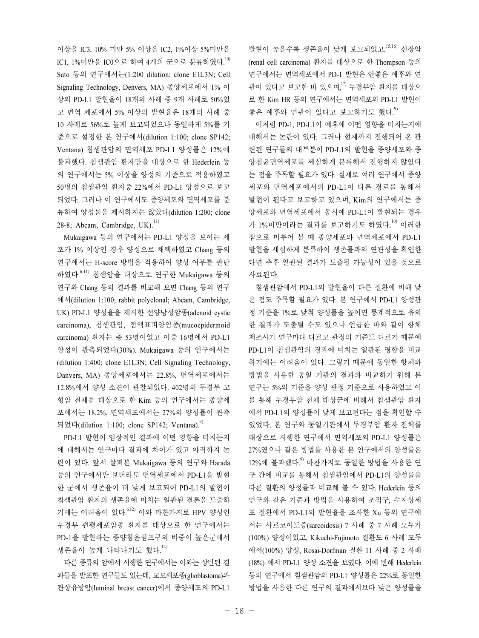이상을 IC3, 10% 미만 5% 이상을 IC2, 1%이상 5%미만을 IC1, 1%미만을 IC0으로 하여 4개의 군으로 분류하였다.<sup>10)</sup> Sato 등의 연구에서는(1:200 dilution; clone E1L3N; Cell Signaling Technology, Denvers, MA) 종양세포에서 1% 이 상의 PD-L1 발현율이 18개의 사례 중 9개 사례로 50%였 고 면역 세포에서 5% 이상의 발현율은 18개의 사례 중 10 사례로 56%로 높게 보고되었으나 동일하게 5%를 기 준으로 설정한 본 연구에서(dilution 1:100; clone SP142; Ventana) 침샘관암의 면역세포 PD-L1 양성률은 12%에 불과했다. 침샘관암 환자만을 대상으로 한 Hederlein 등 의 연구에서는 5% 이상을 양성의 기준으로 적용하였고 50명의 침샘관암 환자중 22%에서 PD-L1 양성으로 보고 되었다. 그러나 이 연구에서도 종양세포와 면역세포를 분 류하여 양성률을 제시하지는 않았다(dilution 1:200; clone 28-8; Abcam, Cambridge, UK $^{13)}$ 

Mukaigawa 등의 연구에서는 PD-L1 양성을 보이는 세 포가 1% 이상인 경우 양성으로 채택하였고 Chang 등의 연구에서는 H-score 방법을 적용하여 양성 여부를 판단 하였다. 6,11) 침샘암을 대상으로 연구한 Mukaigawa 등의 연구와 Chang 등의 결과를 비교해 보면 Chang 등의 연구 에서(dilution 1:100; rabbit polyclonal; Abcam, Cambridge, UK) PD-L1 양성율을 제시한 선양낭성암종(adenoid cystic carcinoma), 침샘관암, 점액표피양암종(mucoepidermoid carcinoma) 환자는 총 53명이었고 이중 16명에서 PD-L1 양성이 관측되었다(30%). Mukaigawa 등의 연구에서는 (dilution 1:400; clone E1L3N; Cell Signaling Technology, Danvers, MA) 종양세포에서는 22.8%, 면역세포에서는 12.8%에서 양성 소견이 관찰되었다. 402명의 두경부 고 형암 전체를 대상으로 한 Kim 등의 연구에서는 종양세 포에서는 18.2%, 면역세포에서는 27%의 양성률이 관측 되었다(dilution 1:100; clone SP142; Ventana).<sup>9)</sup>

PD-L1 발현이 임상적인 결과에 어떤 영향을 미치는지 에 대해서는 연구마다 결과에 차이가 있고 아직까지 논 란이 있다. 앞서 살펴본 Mukaigawa 등의 연구와 Harada 등의 연구에서만 보더라도 면역세포에서 PD-L1을 발현 한 군에서 생존율이 더 낮게 보고되어 PD-L1의 발현이 침샘관암 환자의 생존율에 미치는 일관된 결론을 도출하 기에는 어려움이 있다.<sup>6,12)</sup> 이와 마찬가지로 HPV 양성인 두경부 편평세포암종 환자를 대상으로 한 연구에서는 PD-1을 발현하는 종양침윤림프구의 비중이 높은군에서 생존율이 높게 나타나기도 했다.<sup>14)</sup>

다른 종류의 암에서 시행한 연구에서는 이와는 상반된 결 과들을 발표한 연구들도 있는데, 교모세포종(glioblastoma)과 관상유방암(luminal breast cancer)에서 종양세포의 PD-L1

발현이 높을수록 생존율이 낮게 보고되었고,<sup>15,16)</sup> 신장암 (renal cell carcinoma) 환자를 대상으로 한 Thompson 등의 연구에서는 면역세포에서 PD-1 발현은 안좋은 예후와 연 관이 있다고 보고한 바 있으며,<sup>17)</sup> 두경부암 환자를 대상으 로 한 Kim HR 등의 연구에서는 면역세포의 PD-L1 발현이 좋은 예후와 연관이 있다고 보고하기도 했다.<sup>9)</sup>

이처럼 PD-1, PD-L1이 예후에 어떤 영향을 미치는지에 대해서는 논란이 있다. 그러나 현재까지 진행되어 온 관 련된 연구들의 대부분이 PD-L1의 발현을 종양세포와 종 양침윤면역세포를 세심하게 분류해서 진행하지 않았다 는 점을 주목할 필요가 있다. 실제로 여러 연구에서 종양 세포와 면역세포에서의 PD-L1이 다른 경로를 통해서 발현이 된다고 보고하고 있으며, Kim의 연구에서는 종 양세포와 면역세포에서 동시에 PD-L1이 발현되는 경우 가 1%미만이라는 결과를 보고하기도 하였다.<sup>10)</sup> 이러한 점으로 미루어 볼 때 종양세포와 면역세포에서 PD-L1 발현을 세심하게 분류하여 생존률과의 연관성을 확인한 다면 추후 일관된 결과가 도출될 가능성이 있을 것으로 사료되다.

침샘관암에서 PD-L1의 발현율이 다른 질환에 비해 낮 은 점도 주목할 필요가 있다. 본 연구에서 PD-L1 양성판 정 기준을 1%로 낮춰 양성률을 높이면 통계적으로 유의 한 결과가 도출될 수도 있으나 언급한 바와 같이 항체 제조사가 연구마다 다르고 판정의 기준도 다르기 때문에 PD-L1이 침샘관암의 경과에 미치는 일관된 영향을 비교 하기에는 어려움이 있다. 그렇기 때문에 동일한 항체와 방법을 사용한 동일 기관의 결과와 비교하기 위해 본 연구는 5%의 기준을 양성 판정 기준으로 사용하였고 이 를 통해 두경부암 전체 대상군에 비해서 침샘관암 환자 에서 PD-L1의 양성률이 낮게 보고된다는 점을 확인할 수 있었다. 본 연구와 동일기관에서 두경부암 환자 전체를 대상으로 시행한 연구에서 면역세포의 PD-L1 양성률은 27%였으나 같은 방법을 사용한 본 연구에서의 양성률은 12%에 불과했다. <sup>9)</sup> 마찬가지로 동일한 방법을 사용한 연 구 간에 비교를 통해서 침샘관암에서 PD-L1의 양성률을 다른 질환의 양성률과 비교해 볼 수 있다. Hederlein 등의 연구와 같은 기준과 방법을 사용하여 조직구, 수지상세 포 질환에서 PD-L1의 발현율을 조사한 Xu 등의 연구에 서는 사르코이도증(sarcoidosis) 7 사례 중 7 사례 모두가 (100%) 양성이었고, Kikuchi-Fujimoto 질환도 6 사례 모두 에서(100%) 양성, Rosai-Dorfman 질환 11 사례 중 2 사례 (18%) 에서 PD-L1 양성 소견을 보였다. 이에 반해 Hederlein 등의 연구에서 침샘관암의 PD-L1 양성률은 22%로 동일한 방법을 사용한 다른 연구의 결과에서보다 낮은 양성률을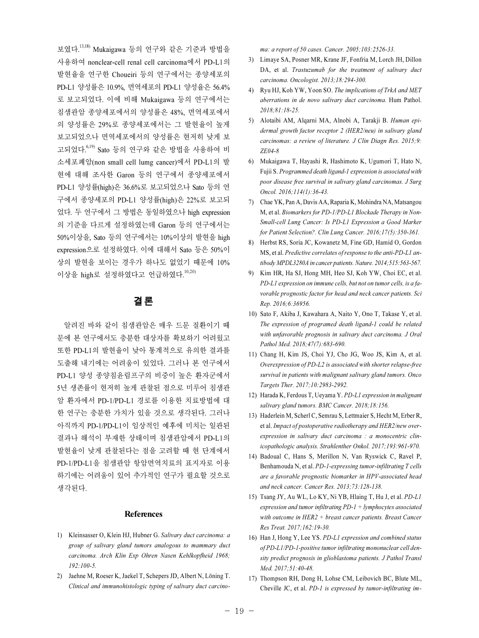보였다.<sup>13,18)</sup> Mukaigawa 등의 연구와 같은 기준과 방법을 사용하여 nonclear-cell renal cell carcinoma에서 PD-L1의 발현율을 연구한 Choueiri 등의 연구에서는 종양세포의 PD-L1 양성률은 10.9%, 면역세포의 PD-L1 양성율은 56.4% 로 보고되었다. 이에 비해 Mukaigawa 등의 연구에서는 침샘관암 종양세포에서의 양성률은 48%, 면역세포에서 의 양성률은 29%로 종양세포에서는 그 발현율이 높게 보고되었으나 면역세포에서의 양성률은 현저히 낮게 보 고되었다. 6,19) Sato 등의 연구와 같은 방법을 사용하여 비 소세포폐암(non small cell lumg cancer)에서 PD-L1의 발 현에 대해 조사한 Garon 등의 연구에서 종양세포에서 PD-L1 양성률(high)은 36.6%로 보고되었으나 Sato 등의 연 구에서 종양세포의 PD-L1 양성률(high)은 22%로 보고되 었다. 두 연구에서 그 방법은 동일하였으나 high expression 의 기준을 다르게 설정하였는데 Garon 등의 연구에서는 50%이상을, Sato 등의 연구에서는 10%이상의 발현을 high expression으로 설정하였다. 이에 대해서 Sato 등은 50%이 상의 발현을 보이는 경우가 하나도 없었기 때문에 10% 이상을 high로 설정하였다고 언급하였다.<sup>10,20)</sup>

# 결 론

알려진 바와 같이 침샘관암은 매우 드문 질환이기 때 문에 본 연구에서도 충분한 대상자를 확보하기 어려웠고 또한 PD-L1의 발현율이 낮아 통계적으로 유의한 결과를 도출해 내기에는 어려움이 있었다. 그러나 본 연구에서 PD-L1 양성 종양침윤림프구의 비중이 높은 환자군에서 5년 생존률이 현저히 높게 관찰된 점으로 미루어 침샘관 암 환자에서 PD-1/PD-L1 경로를 이용한 치료방법에 대 한 연구는 충분한 가치가 있을 것으로 생각된다. 그러나 아직까지 PD-1/PD-L1이 임상적인 예후에 미치는 일관된 결과나 해석이 부재한 상태이며 침샘관암에서 PD-L1의 발현율이 낮게 관찰된다는 점을 고려할 때 현 단계에서 PD-1/PD-L1을 침샘관암 항암면역치료의 표지자로 이용 하기에는 어려움이 있어 추가적인 연구가 필요할 것으로 생각된다.

#### References

- 1) Kleinsasser O, Klein HJ, Hubner G. Salivary duct carcinoma: a group of salivary gland tumors analogous to mammary duct carcinoma. Arch Klin Exp Ohren Nasen Kehlkopfheid 1968; 192:100-5.
- 2) Jaehne M, Roeser K, Jaekel T, Schepers JD, Albert N, Löning T. Clinical and immunohistologic typing of salivary duct carcino-

ma: a report of 50 cases. Cancer. 2005;103:2526-33.

- 3) Limaye SA, Posner MR, Krane JF, Fonfria M, Lorch JH, Dillon DA, et al. Trastuzumab for the treatment of salivary duct carcinoma. Oncologist. 2013;18:294-300.
- 4) Ryu HJ, Koh YW, Yoon SO. The implications of TrkA and MET aberrations in de novo salivary duct carcinoma. Hum Pathol. 2018;81:18-25.
- 5) Alotaibi AM, Alqarni MA, Alnobi A, Tarakji B. Human epidermal growth factor receptor 2 (HER2/neu) in salivary gland carcinomas: a review of literature. J Clin Diagn Res. 2015;9: ZE04-8
- 6) Mukaigawa T, Hayashi R, Hashimoto K, Ugumori T, Hato N, Fujii S. Programmed death ligand-1 expression is associated with poor disease free survival in salivary gland carcinomas. J Surg Oncol. 2016;114(1):36-43.
- 7) Chae YK, Pan A, Davis AA, Raparia K, Mohindra NA, Matsangou M, et al. Biomarkers for PD-1/PD-L1 Blockade Therapy in Non-Small-cell Lung Cancer: Is PD-L1 Expression a Good Marker for Patient Selection?. Clin Lung Cancer. 2016;17(5):350-361.
- 8) Herbst RS, Soria JC, Kowanetz M, Fine GD, Hamid O, Gordon MS, et al. Predictive correlates of response to the anti-PD-L1 antibody MPDL3280A in cancer patients. Nature. 2014;515:563-567.
- 9) Kim HR, Ha SJ, Hong MH, Heo SJ, Koh YW, Choi EC, et al. PD-L1 expression on immune cells, but not on tumor cells, is a favorable prognostic factor for head and neck cancer patients. Sci Rep. 2016;6:36956.
- 10) Sato F, Akiba J, Kawahara A, Naito Y, Ono T, Takase Y, et al. The expression of programed death ligand-1 could be related with unfavorable prognosis in salivary duct carcinoma. J Oral Pathol Med. 2018;47(7):683-690.
- 11) Chang H, Kim JS, Choi YJ, Cho JG, Woo JS, Kim A, et al. Overexpression of PD-L2 is associated with shorter relapse-free survival in patients with malignant salivary gland tumors. Onco Targets Ther. 2017;10:2983-2992.
- 12) Harada K, Ferdous T, Ueyama Y. PD-L1 expression in malignant salivary gland tumors. BMC Cancer. 2018;18:156.
- 13) Haderlein M, Scherl C, Semrau S, Lettmaier S, Hecht M, Erber R, et al. Impact of postoperative radiotherapy and HER2/new overexpression in salivary duct carcinoma : a monocentric clinicopathologic analysis. Strahlenther Onkol. 2017;193:961-970.
- 14) Badoual C, Hans S, Merillon N, Van Ryswick C, Ravel P, Benhamouda N, et al. PD-1-expressing tumor-infiltrating T cells are a favorable prognostic biomarker in HPV-associated head and neck cancer. Cancer Res. 2013;73:128-138.
- 15) Tsang JY, Au WL, Lo KY, Ni YB, Hlaing T, Hu J, et al. PD-L1 expression and tumor infiltrating  $PD-I + l$ ymphocytes associated with outcome in HER2 + breast cancer patients. Breast Cancer Res Treat. 2017;162:19-30.
- 16) Han J, Hong Y, Lee YS. PD-L1 expression and combined status of PD-L1/PD-1-positive tumor infiltrating mononuclear cell density predict prognosis in glioblastoma patients. J Pathol Transl Med. 2017;51:40-48.
- 17) Thompson RH, Dong H, Lohse CM, Leibovich BC, Blute ML, Cheville JC, et al. PD-1 is expressed by tumor-infiltrating im-